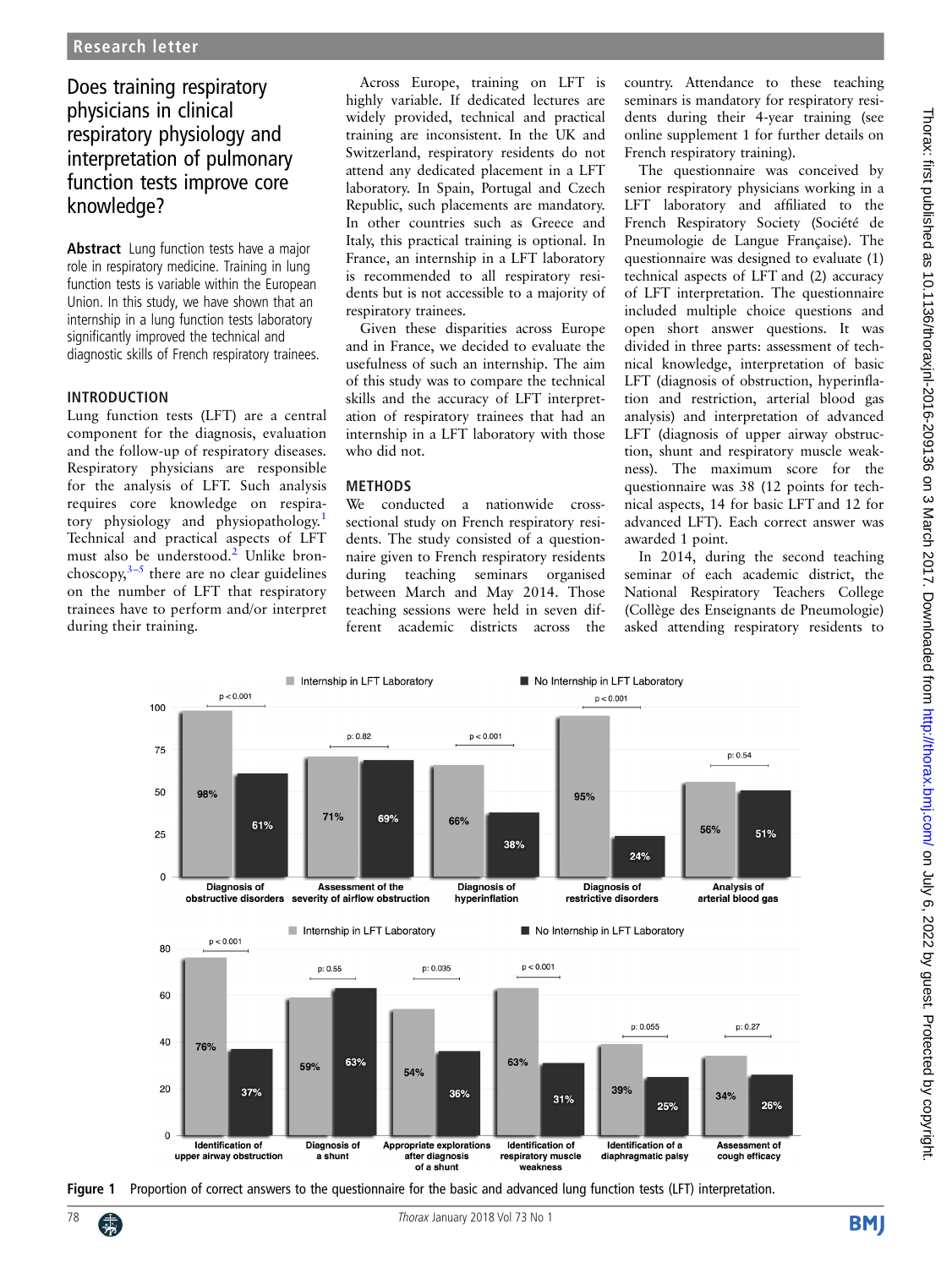# <span id="page-0-0"></span>Does training respiratory physicians in clinical respiratory physiology and interpretation of pulmonary function tests improve core knowledge?

Abstract Lung function tests have a major role in respiratory medicine. Training in lung function tests is variable within the European Union. In this study, we have shown that an internship in a lung function tests laboratory significantly improved the technical and diagnostic skills of French respiratory trainees.

#### INTRODUCTION

Lung function tests (LFT) are a central component for the diagnosis, evaluation and the follow-up of respiratory diseases. Respiratory physicians are responsible for the analysis of LFT. Such analysis requires core knowledge on respira-tory physiology and physiopathology.<sup>[1](#page-2-0)</sup> Technical and practical aspects of LFT must also be understood.<sup>[2](#page-2-0)</sup> Unlike bronchoscopy, $3-5$  $3-5$  there are no clear guidelines on the number of LFT that respiratory trainees have to perform and/or interpret during their training.

Across Europe, training on LFT is highly variable. If dedicated lectures are widely provided, technical and practical training are inconsistent. In the UK and Switzerland, respiratory residents do not attend any dedicated placement in a LFT laboratory. In Spain, Portugal and Czech Republic, such placements are mandatory. In other countries such as Greece and Italy, this practical training is optional. In France, an internship in a LFT laboratory is recommended to all respiratory residents but is not accessible to a majority of respiratory trainees.

Given these disparities across Europe and in France, we decided to evaluate the usefulness of such an internship. The aim of this study was to compare the technical skills and the accuracy of LFT interpretation of respiratory trainees that had an internship in a LFT laboratory with those who did not.

## METHODS

We conducted a nationwide crosssectional study on French respiratory residents. The study consisted of a questionnaire given to French respiratory residents during teaching seminars organised between March and May 2014. Those teaching sessions were held in seven different academic districts across the

country. Attendance to these teaching seminars is mandatory for respiratory residents during their 4-year training (see online [supplement 1](http://dx.doi.org/10.1136/thoraxjnl-2016-209136) for further details on French respiratory training).

The questionnaire was conceived by senior respiratory physicians working in a LFT laboratory and affiliated to the French Respiratory Society (Société de Pneumologie de Langue Française). The questionnaire was designed to evaluate (1) technical aspects of LFT and (2) accuracy of LFT interpretation. The questionnaire included multiple choice questions and open short answer questions. It was divided in three parts: assessment of technical knowledge, interpretation of basic LFT (diagnosis of obstruction, hyperinflation and restriction, arterial blood gas analysis) and interpretation of advanced LFT (diagnosis of upper airway obstruction, shunt and respiratory muscle weakness). The maximum score for the questionnaire was 38 (12 points for technical aspects, 14 for basic LFT and 12 for advanced LFT). Each correct answer was awarded 1 point.

In 2014, during the second teaching seminar of each academic district, the National Respiratory Teachers College (Collège des Enseignants de Pneumologie) asked attending respiratory residents to



Figure 1 Proportion of correct answers to the questionnaire for the basic and advanced lung function tests (LFT) interpretation.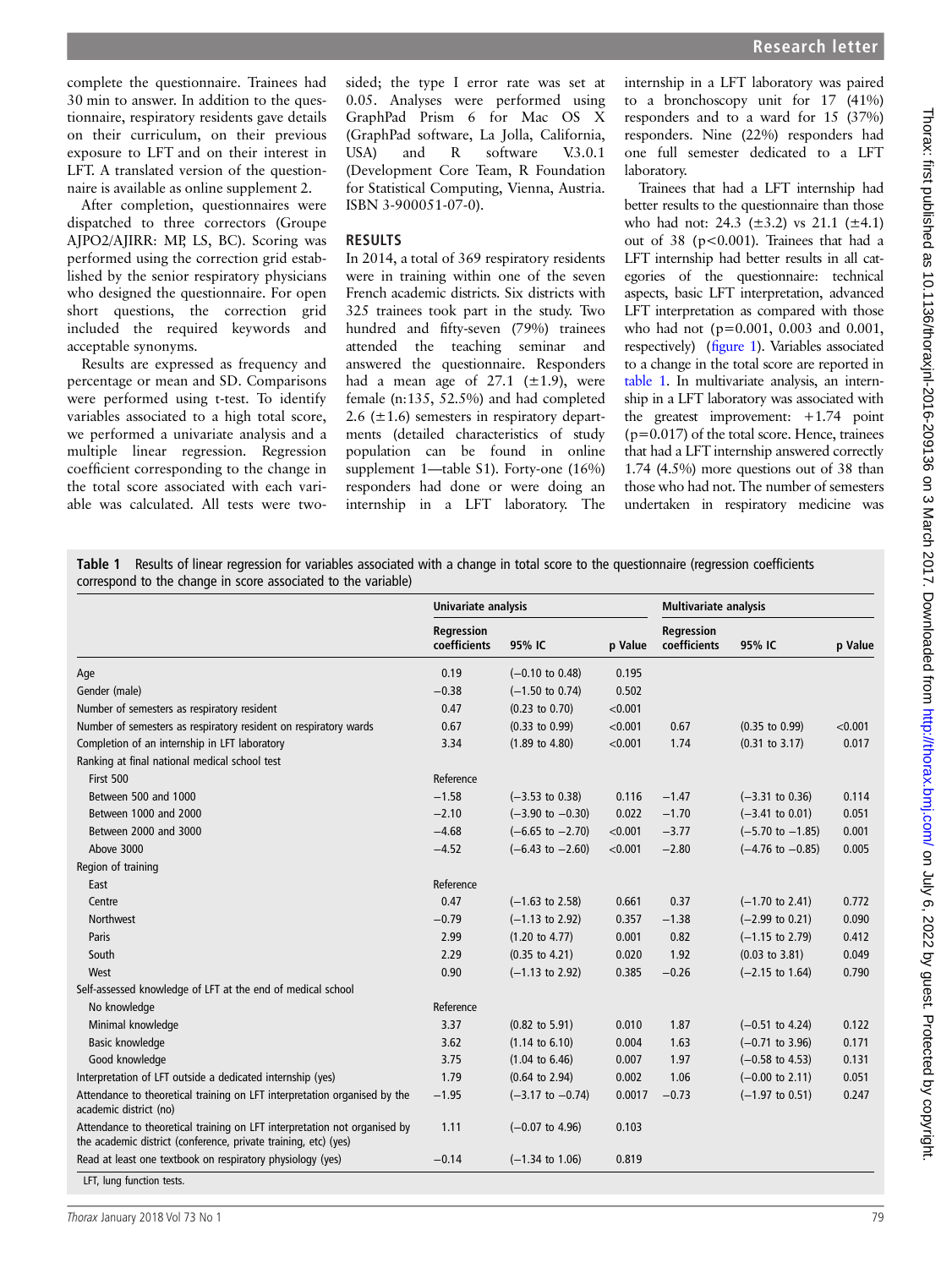complete the questionnaire. Trainees had 30 min to answer. In addition to the questionnaire, respiratory residents gave details on their curriculum, on their previous exposure to LFT and on their interest in LFT. A translated version of the questionnaire is available as online [supplement 2](http://dx.doi.org/10.1136/thoraxjnl-2016-209136).

After completion, questionnaires were dispatched to three correctors (Groupe AJPO2/AJIRR: MP, LS, BC). Scoring was performed using the correction grid established by the senior respiratory physicians who designed the questionnaire. For open short questions, the correction grid included the required keywords and acceptable synonyms.

Results are expressed as frequency and percentage or mean and SD. Comparisons were performed using t-test. To identify variables associated to a high total score, we performed a univariate analysis and a multiple linear regression. Regression coefficient corresponding to the change in the total score associated with each variable was calculated. All tests were twosided; the type I error rate was set at 0.05. Analyses were performed using GraphPad Prism 6 for Mac OS X (GraphPad software, La Jolla, California, USA) and R software V.3.0.1 (Development Core Team, R Foundation for Statistical Computing, Vienna, Austria. ISBN 3-900051-07-0).

#### RESULTS

In 2014, a total of 369 respiratory residents were in training within one of the seven French academic districts. Six districts with 325 trainees took part in the study. Two hundred and fifty-seven (79%) trainees attended the teaching seminar and answered the questionnaire. Responders had a mean age of  $27.1$  ( $\pm 1.9$ ), were female (n:135, 52.5%) and had completed 2.6 ( $\pm$ 1.6) semesters in respiratory departments (detailed characteristics of study population can be found in online [supplement 1](http://dx.doi.org/10.1136/thoraxjnl-2016-209136)—table S1). Forty-one (16%) responders had done or were doing an internship in a LFT laboratory. The internship in a LFT laboratory was paired to a bronchoscopy unit for 17 (41%) responders and to a ward for 15 (37%) responders. Nine (22%) responders had one full semester dedicated to a LFT laboratory.

Trainees that had a LFT internship had better results to the questionnaire than those who had not: 24.3  $(\pm 3.2)$  vs 21.1  $(\pm 4.1)$ out of 38 (p<0.001). Trainees that had a LFT internship had better results in all categories of the questionnaire: technical aspects, basic LFT interpretation, advanced LFT interpretation as compared with those who had not (p=0.001, 0.003 and 0.001, respectively) (fi[gure 1\)](#page-0-0). Variables associated to a change in the total score are reported in table 1. In multivariate analysis, an internship in a LFT laboratory was associated with the greatest improvement: +1.74 point  $(p=0.017)$  of the total score. Hence, trainees that had a LFT internship answered correctly 1.74 (4.5%) more questions out of 38 than those who had not. The number of semesters undertaken in respiratory medicine was

Table 1 Results of linear regression for variables associated with a change in total score to the questionnaire (regression coefficients correspond to the change in score associated to the variable)

|                                                                                                                                              | Univariate analysis        |                             |         | <b>Multivariate analysis</b>      |                             |         |
|----------------------------------------------------------------------------------------------------------------------------------------------|----------------------------|-----------------------------|---------|-----------------------------------|-----------------------------|---------|
|                                                                                                                                              | Regression<br>coefficients | 95% IC                      | p Value | <b>Regression</b><br>coefficients | 95% IC                      | p Value |
| Age                                                                                                                                          | 0.19                       | $(-0.10 \text{ to } 0.48)$  | 0.195   |                                   |                             |         |
| Gender (male)                                                                                                                                | $-0.38$                    | $(-1.50 \text{ to } 0.74)$  | 0.502   |                                   |                             |         |
| Number of semesters as respiratory resident                                                                                                  | 0.47                       | $(0.23 \text{ to } 0.70)$   | < 0.001 |                                   |                             |         |
| Number of semesters as respiratory resident on respiratory wards                                                                             | 0.67                       | $(0.33 \text{ to } 0.99)$   | < 0.001 | 0.67                              | $(0.35$ to $0.99)$          | < 0.001 |
| Completion of an internship in LFT laboratory                                                                                                | 3.34                       | $(1.89 \text{ to } 4.80)$   | < 0.001 | 1.74                              | $(0.31$ to $3.17)$          | 0.017   |
| Ranking at final national medical school test                                                                                                |                            |                             |         |                                   |                             |         |
| First 500                                                                                                                                    | Reference                  |                             |         |                                   |                             |         |
| Between 500 and 1000                                                                                                                         | $-1.58$                    | $(-3.53$ to 0.38)           | 0.116   | $-1.47$                           | $(-3.31 \text{ to } 0.36)$  | 0.114   |
| Between 1000 and 2000                                                                                                                        | $-2.10$                    | $(-3.90 \text{ to } -0.30)$ | 0.022   | $-1.70$                           | $(-3.41 \text{ to } 0.01)$  | 0.051   |
| Between 2000 and 3000                                                                                                                        | $-4.68$                    | $(-6.65 \text{ to } -2.70)$ | < 0.001 | $-3.77$                           | $(-5.70 \text{ to } -1.85)$ | 0.001   |
| Above 3000                                                                                                                                   | $-4.52$                    | $(-6.43 \text{ to } -2.60)$ | < 0.001 | $-2.80$                           | $(-4.76 \text{ to } -0.85)$ | 0.005   |
| Region of training                                                                                                                           |                            |                             |         |                                   |                             |         |
| East                                                                                                                                         | Reference                  |                             |         |                                   |                             |         |
| Centre                                                                                                                                       | 0.47                       | $(-1.63 \text{ to } 2.58)$  | 0.661   | 0.37                              | $(-1.70 \text{ to } 2.41)$  | 0.772   |
| Northwest                                                                                                                                    | $-0.79$                    | $(-1.13$ to 2.92)           | 0.357   | $-1.38$                           | $(-2.99$ to 0.21)           | 0.090   |
| Paris                                                                                                                                        | 2.99                       | $(1.20 \text{ to } 4.77)$   | 0.001   | 0.82                              | $(-1.15$ to 2.79)           | 0.412   |
| South                                                                                                                                        | 2.29                       | $(0.35$ to 4.21)            | 0.020   | 1.92                              | $(0.03 \text{ to } 3.81)$   | 0.049   |
| West                                                                                                                                         | 0.90                       | $(-1.13$ to 2.92)           | 0.385   | $-0.26$                           | $(-2.15 \text{ to } 1.64)$  | 0.790   |
| Self-assessed knowledge of LFT at the end of medical school                                                                                  |                            |                             |         |                                   |                             |         |
| No knowledge                                                                                                                                 | Reference                  |                             |         |                                   |                             |         |
| Minimal knowledge                                                                                                                            | 3.37                       | $(0.82 \text{ to } 5.91)$   | 0.010   | 1.87                              | $(-0.51$ to 4.24)           | 0.122   |
| Basic knowledge                                                                                                                              | 3.62                       | $(1.14 \text{ to } 6.10)$   | 0.004   | 1.63                              | $(-0.71$ to 3.96)           | 0.171   |
| Good knowledge                                                                                                                               | 3.75                       | $(1.04 \text{ to } 6.46)$   | 0.007   | 1.97                              | $(-0.58 \text{ to } 4.53)$  | 0.131   |
| Interpretation of LFT outside a dedicated internship (yes)                                                                                   | 1.79                       | $(0.64 \text{ to } 2.94)$   | 0.002   | 1.06                              | $(-0.00 \text{ to } 2.11)$  | 0.051   |
| Attendance to theoretical training on LFT interpretation organised by the<br>academic district (no)                                          | $-1.95$                    | $(-3.17 \text{ to } -0.74)$ | 0.0017  | $-0.73$                           | $(-1.97 \text{ to } 0.51)$  | 0.247   |
| Attendance to theoretical training on LFT interpretation not organised by<br>the academic district (conference, private training, etc) (yes) | 1.11                       | $(-0.07 \text{ to } 4.96)$  | 0.103   |                                   |                             |         |
| Read at least one textbook on respiratory physiology (yes)                                                                                   | $-0.14$                    | $(-1.34 \text{ to } 1.06)$  | 0.819   |                                   |                             |         |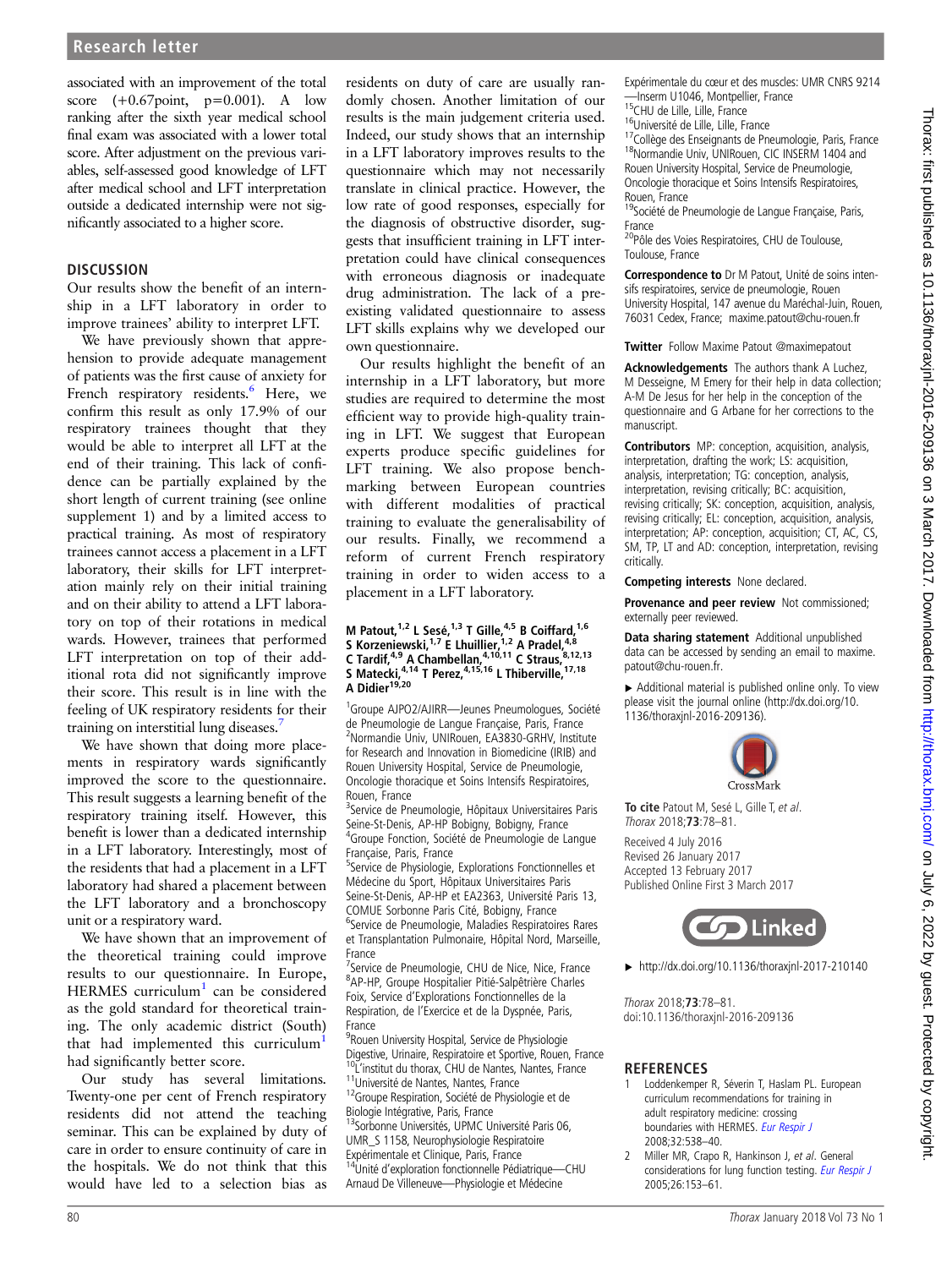<span id="page-2-0"></span>associated with an improvement of the total score  $(+0.67 \text{point}, p=0.001)$ . A low ranking after the sixth year medical school final exam was associated with a lower total score. After adjustment on the previous variables, self-assessed good knowledge of LFT after medical school and LFT interpretation outside a dedicated internship were not significantly associated to a higher score.

## **DISCUSSION**

Our results show the benefit of an internship in a LFT laboratory in order to improve trainees' ability to interpret LFT.

We have previously shown that apprehension to provide adequate management of patients was the first cause of anxiety for French respiratory residents.<sup>[6](#page-3-0)</sup> Here, we confirm this result as only 17.9% of our respiratory trainees thought that they would be able to interpret all LFT at the end of their training. This lack of confidence can be partially explained by the short length of current training (see online [supplement 1](http://dx.doi.org/10.1136/thoraxjnl-2016-209136)) and by a limited access to practical training. As most of respiratory trainees cannot access a placement in a LFT laboratory, their skills for LFT interpretation mainly rely on their initial training and on their ability to attend a LFT laboratory on top of their rotations in medical wards. However, trainees that performed LFT interpretation on top of their additional rota did not significantly improve their score. This result is in line with the feeling of UK respiratory residents for their training on interstitial lung diseases.

We have shown that doing more placements in respiratory wards significantly improved the score to the questionnaire. This result suggests a learning benefit of the respiratory training itself. However, this benefit is lower than a dedicated internship in a LFT laboratory. Interestingly, most of the residents that had a placement in a LFT laboratory had shared a placement between the LFT laboratory and a bronchoscopy unit or a respiratory ward.

We have shown that an improvement of the theoretical training could improve results to our questionnaire. In Europe, HERMES curriculum $1$  can be considered as the gold standard for theoretical training. The only academic district (South) that had implemented this curriculum<sup>1</sup> had significantly better score.

Our study has several limitations. Twenty-one per cent of French respiratory residents did not attend the teaching seminar. This can be explained by duty of care in order to ensure continuity of care in the hospitals. We do not think that this would have led to a selection bias as

residents on duty of care are usually randomly chosen. Another limitation of our results is the main judgement criteria used. Indeed, our study shows that an internship in a LFT laboratory improves results to the questionnaire which may not necessarily translate in clinical practice. However, the low rate of good responses, especially for the diagnosis of obstructive disorder, suggests that insufficient training in LFT interpretation could have clinical consequences with erroneous diagnosis or inadequate drug administration. The lack of a preexisting validated questionnaire to assess LFT skills explains why we developed our own questionnaire.

Our results highlight the benefit of an internship in a LFT laboratory, but more studies are required to determine the most efficient way to provide high-quality training in LFT. We suggest that European experts produce specific guidelines for LFT training. We also propose benchmarking between European countries with different modalities of practical training to evaluate the generalisability of our results. Finally, we recommend a reform of current French respiratory training in order to widen access to a placement in a LFT laboratory.

#### M Patout,  $^{1,2}$  L Sesé,  $^{1,3}$  T Gille,  $^{4,5}$  B Coiffard,  $^{1,6}$ S Korzeniewski,  $17$  E Lhuillier,  $12$  A Pradel,  $48$ C Tardif,<sup>4,9</sup> A Chambellan,<sup>4,10,11</sup> C Straus, 8,12,13 S Matecki, $4,14$  T Perez, $4,15,16$  L Thiberville,  $17,18$ A Didier $19,20$

<sup>1</sup>Groupe AJPO2/AJIRR-Jeunes Pneumologues, Société de Pneumologie de Langue Française, Paris, France 2 Normandie Univ, UNIRouen, EA3830-GRHV, Institute for Research and Innovation in Biomedicine (IRIB) and Rouen University Hospital, Service de Pneumologie, Oncologie thoracique et Soins Intensifs Respiratoires, Rouen, France

<sup>3</sup>Service de Pneumologie, Hôpitaux Universitaires Paris Seine-St-Denis, AP-HP Bobigny, Bobigny, France 4 Groupe Fonction, Société de Pneumologie de Langue Française, Paris, France

<sup>5</sup>Service de Physiologie, Explorations Fonctionnelles et Médecine du Sport, Hôpitaux Universitaires Paris Seine-St-Denis, AP-HP et EA2363, Université Paris 13, COMUE Sorbonne Paris Cité, Bobigny, France

<sup>6</sup>Service de Pneumologie, Maladies Respiratoires Rares et Transplantation Pulmonaire, Hôpital Nord, Marseille, France

<sup>7</sup>Service de Pneumologie, CHU de Nice, Nice, France 8 AP-HP, Groupe Hospitalier Pitié-Salpêtrière Charles Foix, Service d'Explorations Fonctionnelles de la Respiration, de l'Exercice et de la Dyspnée, Paris, France

<sup>9</sup> Rouen University Hospital, Service de Physiologie Digestive, Urinaire, Respiratoire et Sportive, Rouen, France<br><sup>10</sup>L'institut du thorax, CHU de Nantes, Nantes, France <sup>11</sup>Université de Nantes, Nantes, France  $12G$ France 12Groupe Respiration, Société de Physiologie et de Biologie Intégrative, Paris, France <sup>13</sup>Sorbonne Universités, UPMC Université Paris 06, UMR\_S 1158, Neurophysiologie Respiratoire

Expérimentale et Clinique, Paris, France

14Unité d'exploration fonctionnelle Pédiatrique—CHU Arnaud De Villeneuve—Physiologie et Médecine

Expérimentale du cœur et des muscles: UMR CNRS 9214

- 
- 

15CHU de Lille, Lille, France<br><sup>16</sup>Université de Lille, Lille, France<br><sup>17</sup>Collège des Enseignants de Pneumologie, Paris, France<br><sup>18</sup>Normandie Univ, UNIRouen, CIC INSERM 1404 and Rouen University Hospital, Service de Pneumologie, Oncologie thoracique et Soins Intensifs Respiratoires,

Rouen, France<br><sup>19</sup>Société de Pneumologie de Langue Française, Paris, France

<sup>20</sup>Pôle des Voies Respiratoires, CHU de Toulouse, Toulouse, France

Correspondence to Dr M Patout, Unité de soins intensifs respiratoires, service de pneumologie, Rouen University Hospital, 147 avenue du Maréchal-Juin, Rouen, 76031 Cedex, France; maxime.patout@chu-rouen.fr

**Twitter** Follow Maxime Patout [@maximepatout](http://twitter.com/maximepatout)

Acknowledgements The authors thank A Luchez, M Desseigne, M Emery for their help in data collection; A-M De Jesus for her help in the conception of the questionnaire and G Arbane for her corrections to the manuscript.

Contributors MP: conception, acquisition, analysis, interpretation, drafting the work; LS: acquisition, analysis, interpretation; TG: conception, analysis, interpretation, revising critically; BC: acquisition, revising critically; SK: conception, acquisition, analysis, revising critically; EL: conception, acquisition, analysis, interpretation; AP: conception, acquisition; CT, AC, CS, SM, TP, LT and AD: conception, interpretation, revising critically.

#### Competing interests None declared.

Provenance and peer review Not commissioned; externally peer reviewed.

Data sharing statement Additional unpublished data can be accessed by sending an email to maxime. patout@chu-rouen.fr.

▶ Additional material is published online only. To view please visit the journal online [\(http://dx.doi.org/10.](http://dx.doi.org/10.1136/thoraxjnl-2016-209136) [1136/thoraxjnl-2016-209136\)](http://dx.doi.org/10.1136/thoraxjnl-2016-209136).



**To cite** Patout M, Sesé L, Gille T, et al. Thorax 2018;**73**:78–81.

Received 4 July 2016 Revised 26 January 2017 Accepted 13 February 2017 Published Online First 3 March 2017



▸ <http://dx.doi.org/10.1136/thoraxjnl-2017-210140>

Thorax 2018;**73**:78–81. doi:10.1136/thoraxjnl-2016-209136

## **REFERENCES**

- 1 Loddenkemper R, Séverin T, Haslam PL. European curriculum recommendations for training in adult respiratory medicine: crossing boundaries with HERMES. [Eur Respir J](http://dx.doi.org/10.1183/09031936.00090908) 2008;32:538–40.
- 2 Miller MR, Crapo R, Hankinson J, et al. General considerations for lung function testing. [Eur Respir J](http://dx.doi.org/10.1183/09031936.05.00034505) 2005;26:153–61.